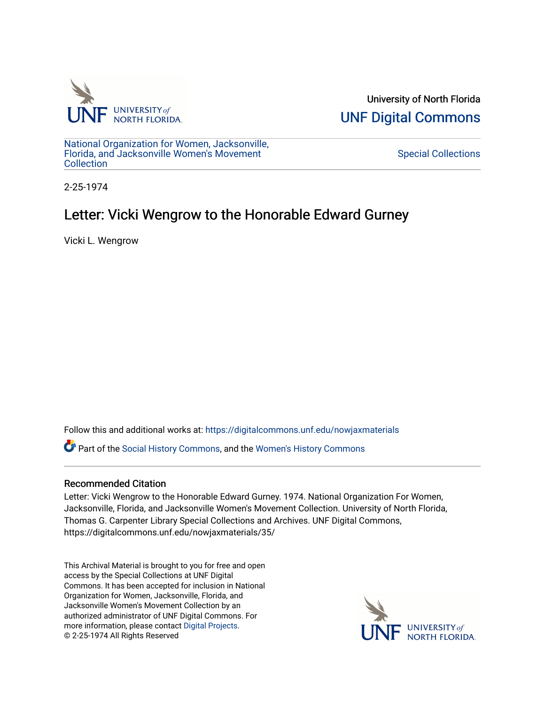

University of North Florida [UNF Digital Commons](https://digitalcommons.unf.edu/) 

[National Organization for Women, Jacksonville,](https://digitalcommons.unf.edu/nowjaxmaterials) [Florida, and Jacksonville Women's Movement](https://digitalcommons.unf.edu/nowjaxmaterials) [Collection](https://digitalcommons.unf.edu/nowjaxmaterials) 

[Special Collections](https://digitalcommons.unf.edu/special_collections) 

2-25-1974

## Letter: Vicki Wengrow to the Honorable Edward Gurney

Vicki L. Wengrow

Follow this and additional works at: [https://digitalcommons.unf.edu/nowjaxmaterials](https://digitalcommons.unf.edu/nowjaxmaterials?utm_source=digitalcommons.unf.edu%2Fnowjaxmaterials%2F35&utm_medium=PDF&utm_campaign=PDFCoverPages) 

Part of the [Social History Commons](http://network.bepress.com/hgg/discipline/506?utm_source=digitalcommons.unf.edu%2Fnowjaxmaterials%2F35&utm_medium=PDF&utm_campaign=PDFCoverPages), and the [Women's History Commons](http://network.bepress.com/hgg/discipline/507?utm_source=digitalcommons.unf.edu%2Fnowjaxmaterials%2F35&utm_medium=PDF&utm_campaign=PDFCoverPages)

## Recommended Citation

Letter: Vicki Wengrow to the Honorable Edward Gurney. 1974. National Organization For Women, Jacksonville, Florida, and Jacksonville Women's Movement Collection. University of North Florida, Thomas G. Carpenter Library Special Collections and Archives. UNF Digital Commons, https://digitalcommons.unf.edu/nowjaxmaterials/35/

This Archival Material is brought to you for free and open access by the Special Collections at UNF Digital Commons. It has been accepted for inclusion in National Organization for Women, Jacksonville, Florida, and Jacksonville Women's Movement Collection by an authorized administrator of UNF Digital Commons. For more information, please contact [Digital Projects](mailto:lib-digital@unf.edu). © 2-25-1974 All Rights Reserved

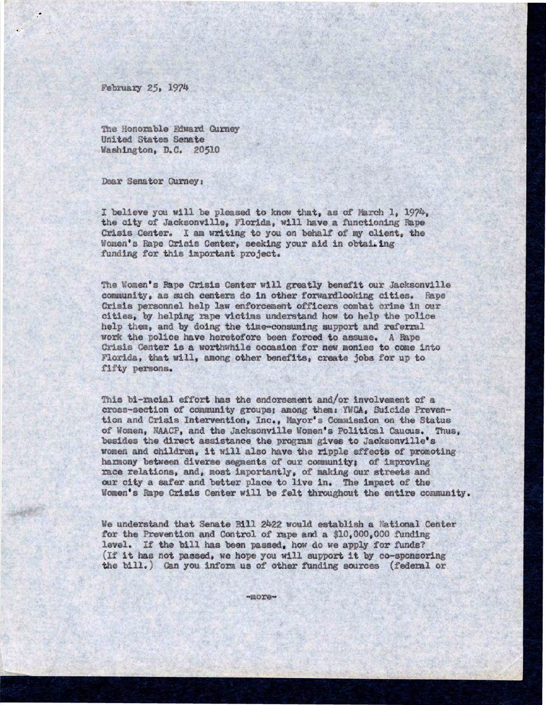February 25, 1974

The Honorable Edward Gurney United States Senate Washington, D.C. 20510

Dear Senator Gurney:

I believe you will be pleased to know that, as of March 1, 1974. the city of Jacksonville, Florida, will have a functioning Rape Crisis Center. I am writing to you on behalf of my client, the Women's Rape Crisis Center, seeking your aid in obtailing funding for this important project.

The Women's Rape Crisis Center will greatly benefit our Jacksonville community, as such centers do in other forwardlooking cities. Rape crisis personnel help law enforcement officers combat crime in our cities, by helping rape victims understand how to help the police help them, and by doing the time-consuming support and referral work the police have heretofore been forced to assume. A Rape Crisis Center is a worthwhile occasion for new monies to come into Florida, that will, among other benefits, create jobs for up to fifty persons.

This bi-racial effort has the endorsement and/or involvement of a cross-section of community groups; amongthem: YWCA, Suicide Prevention and Crisis Intervention, Inc., Mayor's Commission on the Status of Women, NAACP, and the Jacksonville Women's Political Caucus. Thus, besides the direct assistance the program gives to Jacksonville's women and children, it will also have the ripple effects of promoting harmony between diverse segmentsof our community: of improving race relations, and, most importantly, of making our streets and our city a safer and better place to live in. The impact of the Women's Rape Crisis Center will be felt throughout the entire community.

We understand that Senate Bill 2422 would establish a National Center for the Prevention and Control of rape and a  $$10,000,000$  funding level. If the bill has been passed, how do we apply for funds? (If it has not passed, we hope you will support it by co-sponsoring the bill.) Can you inform us of other funding sources (federal or

 $\n *m*$